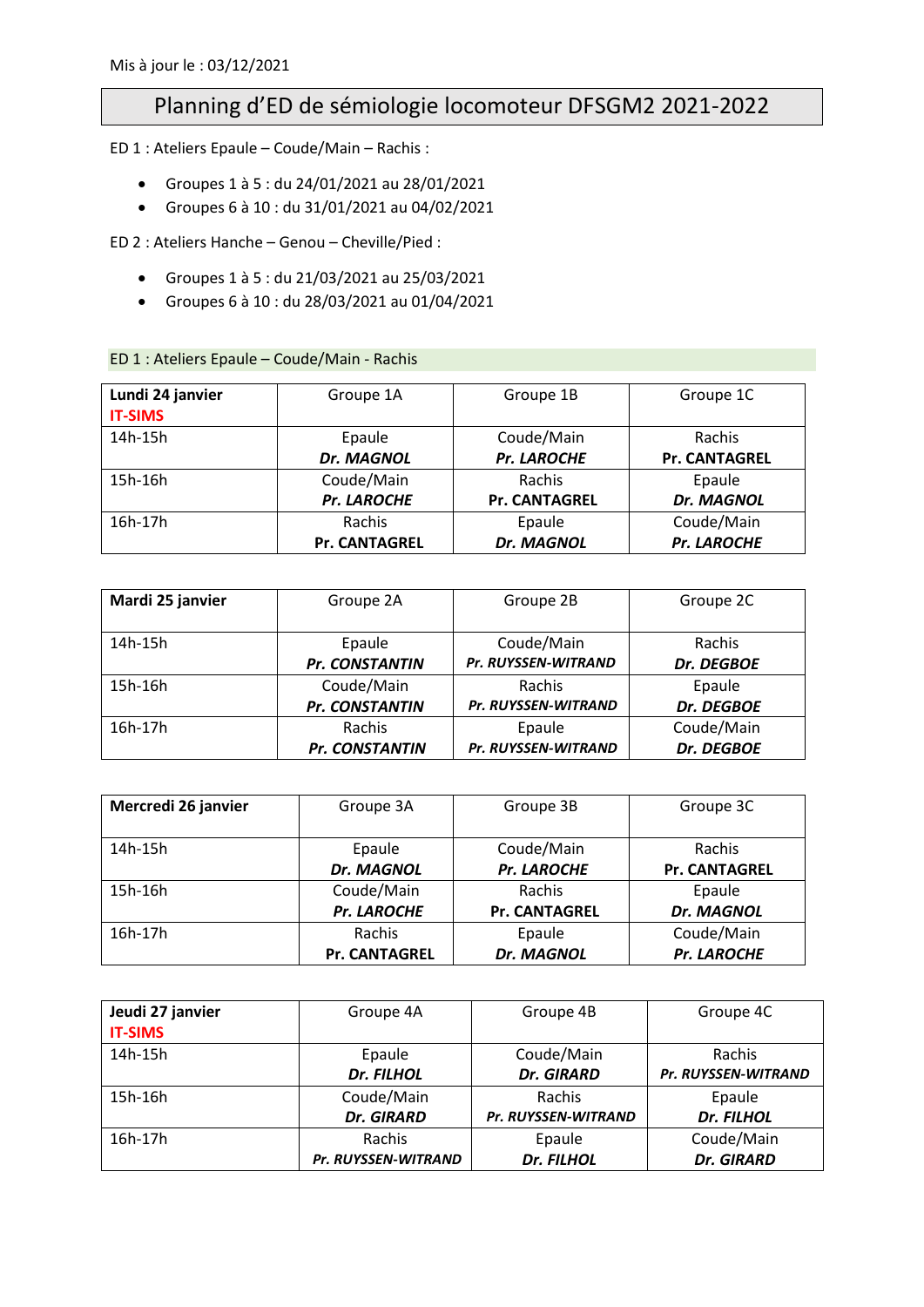## Planning d'ED de sémiologie locomoteur DFSGM2 2021-2022

ED 1 : Ateliers Epaule – Coude/Main – Rachis :

- Groupes 1 à 5 : du 24/01/2021 au 28/01/2021
- Groupes 6 à 10 : du 31/01/2021 au 04/02/2021

ED 2 : Ateliers Hanche – Genou – Cheville/Pied :

- Groupes 1 à 5 : du 21/03/2021 au 25/03/2021
- Groupes 6 à 10 : du 28/03/2021 au 01/04/2021

## ED 1 : Ateliers Epaule – Coude/Main - Rachis

| Lundi 24 janvier<br><b>IT-SIMS</b> | Groupe 1A            | Groupe 1B            | Groupe 1C            |
|------------------------------------|----------------------|----------------------|----------------------|
| 14h-15h                            | Epaule               | Coude/Main           | Rachis               |
|                                    | <b>Dr. MAGNOL</b>    | <b>Pr. LAROCHE</b>   | <b>Pr. CANTAGREL</b> |
| 15h-16h                            | Coude/Main           | Rachis               | Epaule               |
|                                    | <b>Pr. LAROCHE</b>   | <b>Pr. CANTAGREL</b> | Dr. MAGNOL           |
| $16h-17h$                          | Rachis               | Epaule               | Coude/Main           |
|                                    | <b>Pr. CANTAGREL</b> | <b>Dr. MAGNOL</b>    | Pr. LAROCHE          |

| Mardi 25 janvier | Groupe 2A             | Groupe 2B                  | Groupe 2C         |
|------------------|-----------------------|----------------------------|-------------------|
| 14h-15h          | Epaule                | Coude/Main                 | Rachis            |
|                  | <b>Pr. CONSTANTIN</b> | Pr. RUYSSEN-WITRAND        | <b>Dr. DEGBOE</b> |
| 15h-16h          | Coude/Main            | Rachis                     | Epaule            |
|                  | <b>Pr. CONSTANTIN</b> | <b>Pr. RUYSSEN-WITRAND</b> | Dr. DEGBOE        |
| 16h-17h          | Rachis                | Epaule                     | Coude/Main        |
|                  | Pr. CONSTANTIN        | <b>Pr. RUYSSEN-WITRAND</b> | Dr. DEGBOE        |

| Mercredi 26 janvier | Groupe 3A            | Groupe 3B            | Groupe 3C            |
|---------------------|----------------------|----------------------|----------------------|
|                     |                      |                      |                      |
| 14h-15h             | Epaule               | Coude/Main           | Rachis               |
|                     | Dr. MAGNOL           | <b>Pr. LAROCHE</b>   | <b>Pr. CANTAGREL</b> |
| 15h-16h             | Coude/Main           | Rachis               | Epaule               |
|                     | <b>Pr. LAROCHE</b>   | <b>Pr. CANTAGREL</b> | Dr. MAGNOL           |
| $16h-17h$           | Rachis               | Epaule               | Coude/Main           |
|                     | <b>Pr. CANTAGREL</b> | <b>Dr. MAGNOL</b>    | <b>Pr. LAROCHE</b>   |

| Jeudi 27 janvier | Groupe 4A                  | Groupe 4B                  | Groupe 4C                  |
|------------------|----------------------------|----------------------------|----------------------------|
| <b>IT-SIMS</b>   |                            |                            |                            |
| 14h-15h          | Epaule                     | Coude/Main                 | Rachis                     |
|                  | Dr. FILHOL                 | <b>Dr. GIRARD</b>          | <b>Pr. RUYSSEN-WITRAND</b> |
| $15h-16h$        | Coude/Main                 | Rachis                     | Epaule                     |
|                  | <b>Dr. GIRARD</b>          | <b>Pr. RUYSSEN-WITRAND</b> | Dr. FILHOL                 |
| $16h-17h$        | Rachis                     | Epaule                     | Coude/Main                 |
|                  | <b>Pr. RUYSSEN-WITRAND</b> | Dr. FILHOL                 | Dr. GIRARD                 |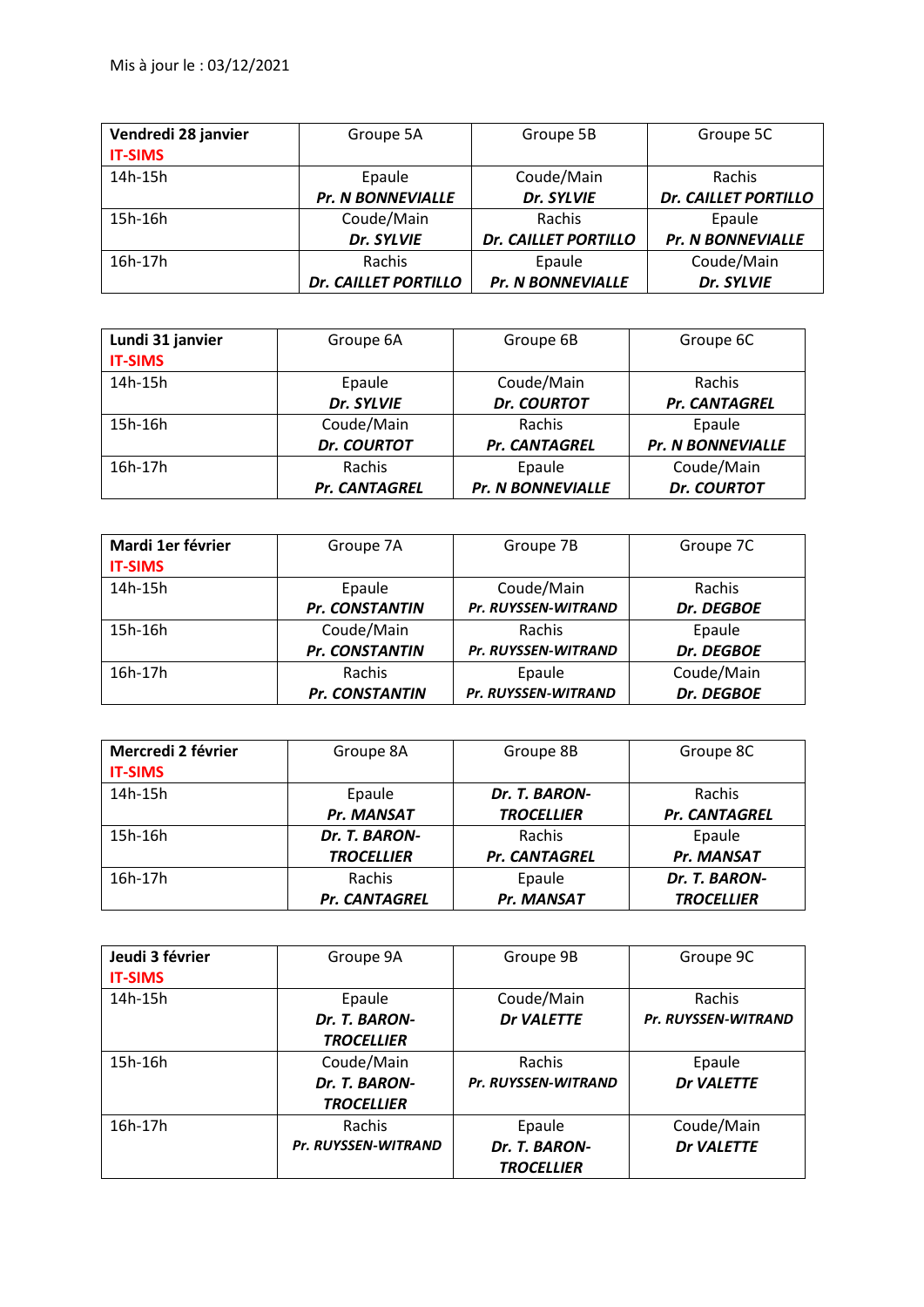| Vendredi 28 janvier | Groupe 5A                   | Groupe 5B                   | Groupe 5C                   |
|---------------------|-----------------------------|-----------------------------|-----------------------------|
| <b>IT-SIMS</b>      |                             |                             |                             |
| 14h-15h             | Epaule                      | Coude/Main                  | Rachis                      |
|                     | <b>Pr. N BONNEVIALLE</b>    | Dr. SYLVIE                  | <b>Dr. CAILLET PORTILLO</b> |
| 15h-16h             | Coude/Main                  | Rachis                      | Epaule                      |
|                     | Dr. SYLVIE                  | <b>Dr. CAILLET PORTILLO</b> | <b>Pr. N BONNEVIALLE</b>    |
| $16h-17h$           | Rachis                      | Epaule                      | Coude/Main                  |
|                     | <b>Dr. CAILLET PORTILLO</b> | <b>Pr. N BONNEVIALLE</b>    | Dr. SYLVIE                  |

| Lundi 31 janvier | Groupe 6A          | Groupe 6B                | Groupe 6C                |
|------------------|--------------------|--------------------------|--------------------------|
| <b>IT-SIMS</b>   |                    |                          |                          |
| 14h-15h          | Epaule             | Coude/Main               | Rachis                   |
|                  | Dr. SYLVIE         | <b>Dr. COURTOT</b>       | <b>Pr. CANTAGREL</b>     |
| 15h-16h          | Coude/Main         | Rachis                   | Epaule                   |
|                  | <b>Dr. COURTOT</b> | Pr. CANTAGREL            | <b>Pr. N BONNEVIALLE</b> |
| $16h-17h$        | Rachis             | Epaule                   | Coude/Main               |
|                  | Pr. CANTAGREL      | <b>Pr. N BONNEVIALLE</b> | <b>Dr. COURTOT</b>       |

| Mardi 1er février<br><b>IT-SIMS</b> | Groupe 7A             | Groupe 7B                  | Groupe 7C  |
|-------------------------------------|-----------------------|----------------------------|------------|
| 14h-15h                             | Epaule                | Coude/Main                 | Rachis     |
|                                     | <b>Pr. CONSTANTIN</b> | <b>Pr. RUYSSEN-WITRAND</b> | Dr. DEGBOE |
| 15h-16h                             | Coude/Main            | Rachis                     | Epaule     |
|                                     | <b>Pr. CONSTANTIN</b> | <b>Pr. RUYSSEN-WITRAND</b> | Dr. DEGBOE |
| 16h-17h                             | Rachis                | Epaule                     | Coude/Main |
|                                     | <b>Pr. CONSTANTIN</b> | <b>Pr. RUYSSEN-WITRAND</b> | Dr. DEGBOE |

| Mercredi 2 février | Groupe 8A         | Groupe 8B         | Groupe 8C            |
|--------------------|-------------------|-------------------|----------------------|
| <b>IT-SIMS</b>     |                   |                   |                      |
| 14h-15h            | Epaule            | Dr. T. BARON-     | Rachis               |
|                    | Pr. MANSAT        | <b>TROCELLIER</b> | <b>Pr. CANTAGREL</b> |
| 15h-16h            | Dr. T. BARON-     | Rachis            | Epaule               |
|                    | <b>TROCELLIER</b> | Pr. CANTAGREL     | Pr. MANSAT           |
| $16h-17h$          | Rachis            | Epaule            | Dr. T. BARON-        |
|                    | Pr. CANTAGREL     | Pr. MANSAT        | <b>TROCELLIER</b>    |

| Jeudi 3 février | Groupe 9A                  | Groupe 9B           | Groupe 9C                  |
|-----------------|----------------------------|---------------------|----------------------------|
| <b>IT-SIMS</b>  |                            |                     |                            |
| 14h-15h         | Epaule                     | Coude/Main          | Rachis                     |
|                 | Dr. T. BARON-              | <b>Dr VALETTE</b>   | <b>Pr. RUYSSEN-WITRAND</b> |
|                 | <b>TROCELLIER</b>          |                     |                            |
| $15h-16h$       | Coude/Main                 | Rachis              | Epaule                     |
|                 | Dr. T. BARON-              | Pr. RUYSSEN-WITRAND | <b>Dr VALETTE</b>          |
|                 | <b>TROCELLIER</b>          |                     |                            |
| $16h-17h$       | Rachis                     | Epaule              | Coude/Main                 |
|                 | <b>Pr. RUYSSEN-WITRAND</b> | Dr. T. BARON-       | <b>Dr VALETTE</b>          |
|                 |                            | <b>TROCELLIER</b>   |                            |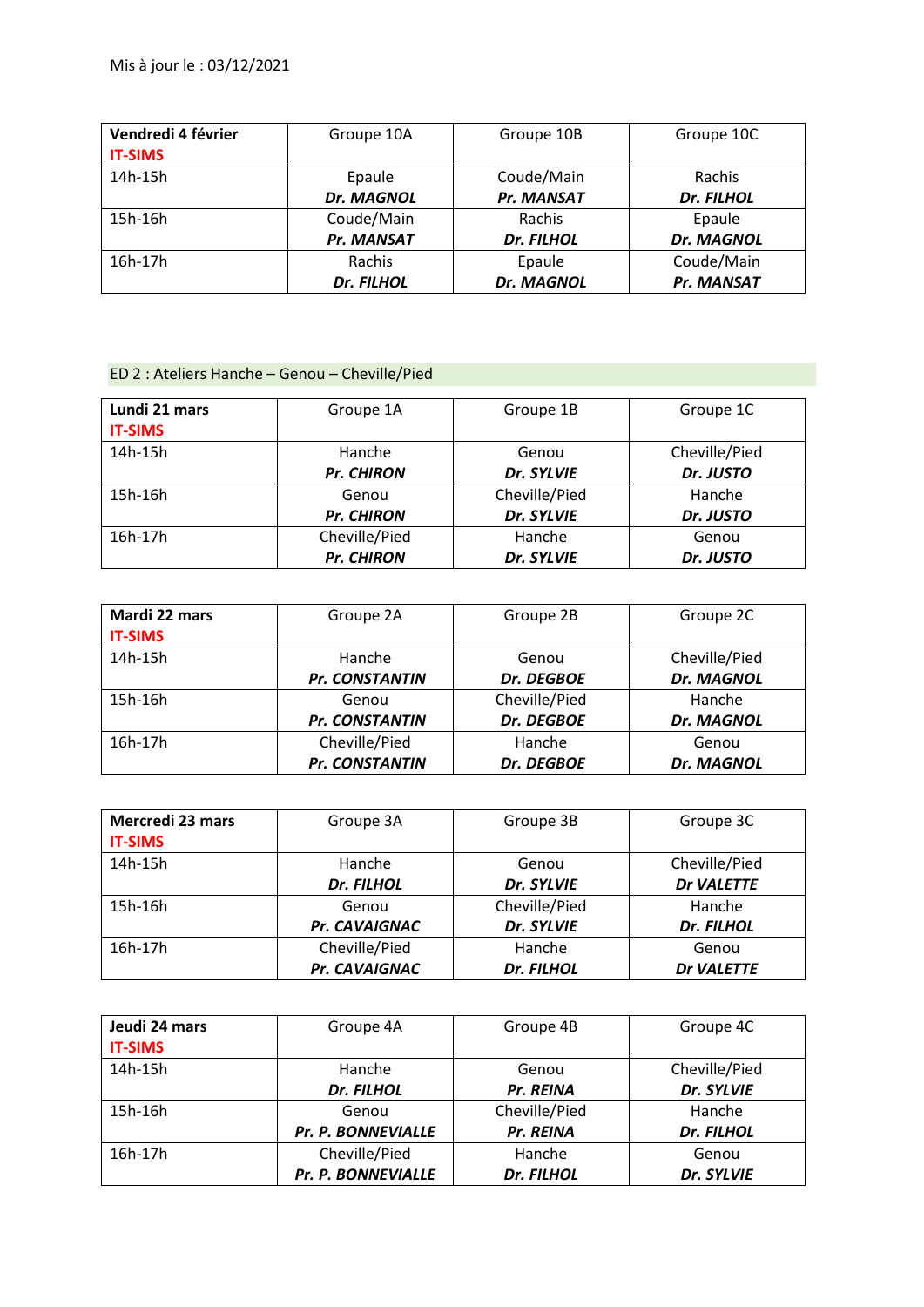| Vendredi 4 février | Groupe 10A        | Groupe 10B        | Groupe 10C        |
|--------------------|-------------------|-------------------|-------------------|
| <b>IT-SIMS</b>     |                   |                   |                   |
| 14h-15h            | Epaule            | Coude/Main        | Rachis            |
|                    | <b>Dr. MAGNOL</b> | Pr. MANSAT        | Dr. FILHOL        |
| 15h-16h            | Coude/Main        | Rachis            | Epaule            |
|                    | Pr. MANSAT        | <b>Dr. FILHOL</b> | <b>Dr. MAGNOL</b> |
| 16h-17h            | Rachis            | Epaule            | Coude/Main        |
|                    | Dr. FILHOL        | <b>Dr. MAGNOL</b> | Pr. MANSAT        |

## ED 2 : Ateliers Hanche – Genou – Cheville/Pied

| Lundi 21 mars<br><b>IT-SIMS</b> | Groupe 1A         | Groupe 1B     | Groupe 1C     |
|---------------------------------|-------------------|---------------|---------------|
| 14h-15h                         | Hanche            | Genou         | Cheville/Pied |
|                                 | <b>Pr. CHIRON</b> | Dr. SYLVIE    | Dr. JUSTO     |
| $15h-16h$                       | Genou             | Cheville/Pied | Hanche        |
|                                 | <b>Pr. CHIRON</b> | Dr. SYLVIE    | Dr. JUSTO     |
| $16h-17h$                       | Cheville/Pied     | Hanche        | Genou         |
|                                 | <b>Pr. CHIRON</b> | Dr. SYLVIE    | Dr. JUSTO     |

| Mardi 22 mars  | Groupe 2A             | Groupe 2B         | Groupe 2C         |
|----------------|-----------------------|-------------------|-------------------|
| <b>IT-SIMS</b> |                       |                   |                   |
| 14h-15h        | Hanche                | Genou             | Cheville/Pied     |
|                | <b>Pr. CONSTANTIN</b> | <b>Dr. DEGBOE</b> | <b>Dr. MAGNOL</b> |
| 15h-16h        | Genou                 | Cheville/Pied     | Hanche            |
|                | <b>Pr. CONSTANTIN</b> | Dr. DEGBOE        | Dr. MAGNOL        |
| 16h-17h        | Cheville/Pied         | Hanche            | Genou             |
|                | <b>Pr. CONSTANTIN</b> | Dr. DEGBOE        | Dr. MAGNOL        |

| Mercredi 23 mars<br><b>IT-SIMS</b> | Groupe 3A     | Groupe 3B     | Groupe 3C         |
|------------------------------------|---------------|---------------|-------------------|
| 14h-15h                            | Hanche        | Genou         | Cheville/Pied     |
|                                    | Dr. FILHOL    | Dr. SYLVIE    | <b>Dr VALETTE</b> |
| $15h-16h$                          | Genou         | Cheville/Pied | Hanche            |
|                                    | Pr. CAVAIGNAC | Dr. SYLVIE    | Dr. FILHOL        |
| $16h-17h$                          | Cheville/Pied | Hanche        | Genou             |
|                                    | Pr. CAVAIGNAC | Dr. FILHOL    | <b>Dr VALETTE</b> |

| Jeudi 24 mars  | Groupe 4A          | Groupe 4B     | Groupe 4C     |
|----------------|--------------------|---------------|---------------|
| <b>IT-SIMS</b> |                    |               |               |
| 14h-15h        | Hanche             | Genou         | Cheville/Pied |
|                | Dr. FILHOL         | Pr. REINA     | Dr. SYLVIE    |
| 15h-16h        | Genou              | Cheville/Pied | Hanche        |
|                | Pr. P. BONNEVIALLE | Pr. REINA     | Dr. FILHOL    |
| 16h-17h        | Cheville/Pied      | Hanche        | Genou         |
|                | Pr. P. BONNEVIALLE | Dr. FILHOL    | Dr. SYLVIE    |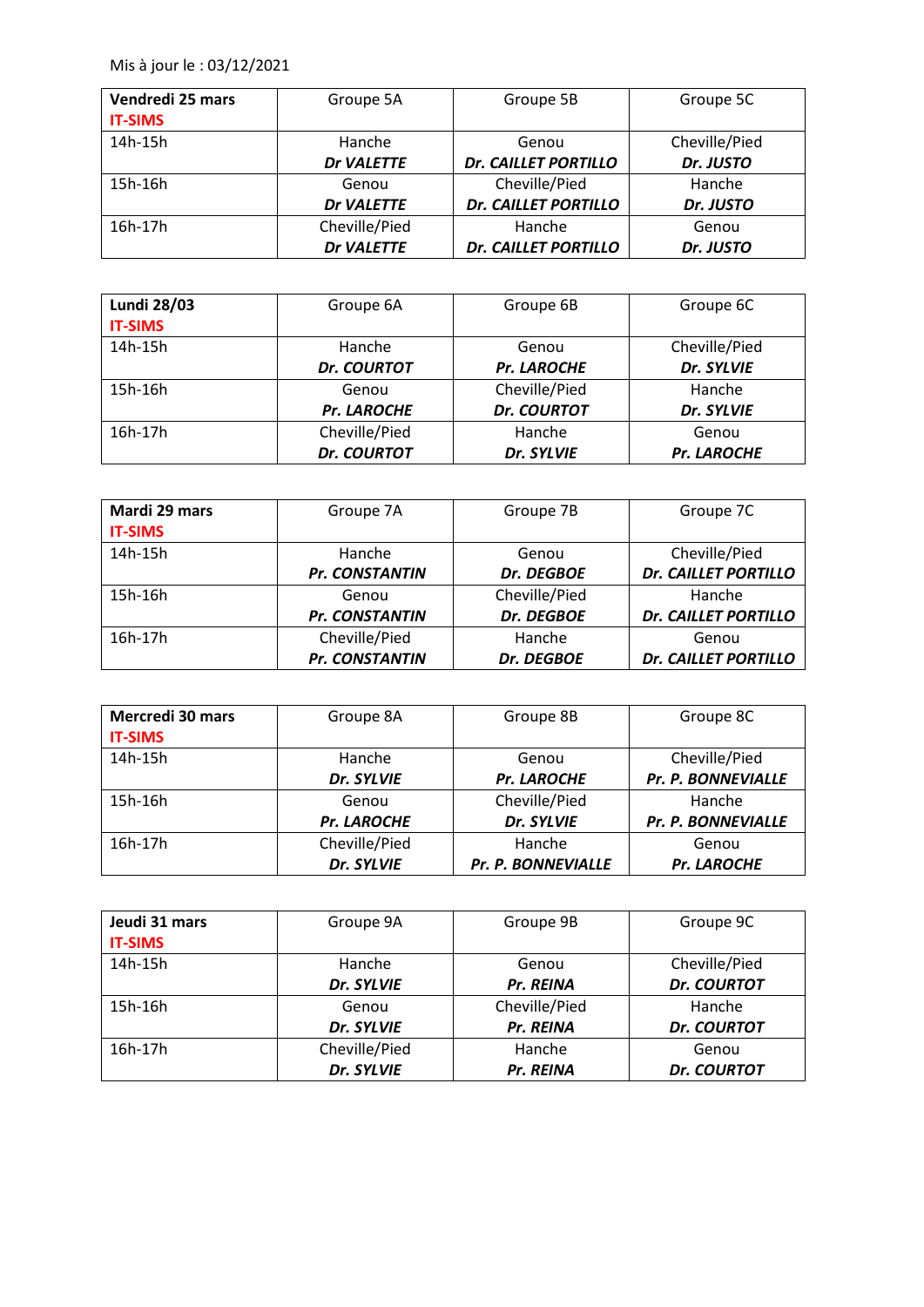Mis à jour le : 03/12/2021

| Vendredi 25 mars | Groupe 5A         | Groupe 5B                   | Groupe 5C     |
|------------------|-------------------|-----------------------------|---------------|
| <b>IT-SIMS</b>   |                   |                             |               |
| 14h-15h          | Hanche            | Genou                       | Cheville/Pied |
|                  | <b>Dr VALETTE</b> | <b>Dr. CAILLET PORTILLO</b> | Dr. JUSTO     |
| 15h-16h          | Genou             | Cheville/Pied               | Hanche        |
|                  | <b>Dr VALETTE</b> | <b>Dr. CAILLET PORTILLO</b> | Dr. JUSTO     |
| 16h-17h          | Cheville/Pied     | Hanche                      | Genou         |
|                  | <b>Dr VALETTE</b> | <b>Dr. CAILLET PORTILLO</b> | Dr. JUSTO     |

| <b>Lundi 28/03</b><br><b>IT-SIMS</b> | Groupe 6A          | Groupe 6B          | Groupe 6C          |
|--------------------------------------|--------------------|--------------------|--------------------|
| 14h-15h                              | Hanche             | Genou              | Cheville/Pied      |
|                                      | <b>Dr. COURTOT</b> | <b>Pr. LAROCHE</b> | Dr. SYLVIE         |
| $15h-16h$                            | Genou              | Cheville/Pied      | Hanche             |
|                                      | <b>Pr. LAROCHE</b> | <b>Dr. COURTOT</b> | Dr. SYLVIE         |
| $16h-17h$                            | Cheville/Pied      | Hanche             | Genou              |
|                                      | <b>Dr. COURTOT</b> | Dr. SYLVIE         | <b>Pr. LAROCHE</b> |

| Mardi 29 mars  | Groupe 7A             | Groupe 7B         | Groupe 7C                   |
|----------------|-----------------------|-------------------|-----------------------------|
| <b>IT-SIMS</b> |                       |                   |                             |
| 14h-15h        | Hanche                | Genou             | Cheville/Pied               |
|                | <b>Pr. CONSTANTIN</b> | <b>Dr. DEGBOE</b> | <b>Dr. CAILLET PORTILLO</b> |
| 15h-16h        | Genou                 | Cheville/Pied     | Hanche                      |
|                | <b>Pr. CONSTANTIN</b> | <b>Dr. DEGBOE</b> | <b>Dr. CAILLET PORTILLO</b> |
| $16h-17h$      | Cheville/Pied         | Hanche            | Genou                       |
|                | Pr. CONSTANTIN        | Dr. DEGBOE        | <b>Dr. CAILLET PORTILLO</b> |

| <b>Mercredi 30 mars</b><br><b>IT-SIMS</b> | Groupe 8A          | Groupe 8B          | Groupe 8C          |
|-------------------------------------------|--------------------|--------------------|--------------------|
| 14h-15h                                   | Hanche             | Genou              | Cheville/Pied      |
|                                           | Dr. SYLVIE         | <b>Pr. LAROCHE</b> | Pr. P. BONNEVIALLE |
| 15h-16h                                   | Genou              | Cheville/Pied      | Hanche             |
|                                           | <b>Pr. LAROCHE</b> | Dr. SYLVIE         | Pr. P. BONNEVIALLE |
| $16h-17h$                                 | Cheville/Pied      | Hanche             | Genou              |
|                                           | Dr. SYLVIE         | Pr. P. BONNEVIALLE | <b>Pr. LAROCHE</b> |

| Jeudi 31 mars<br><b>IT-SIMS</b> | Groupe 9A     | Groupe 9B     | Groupe 9C          |
|---------------------------------|---------------|---------------|--------------------|
| 14h-15h                         | Hanche        | Genou         | Cheville/Pied      |
|                                 | Dr. SYLVIE    | Pr. REINA     | <b>Dr. COURTOT</b> |
| 15h-16h                         | Genou         | Cheville/Pied | Hanche             |
|                                 | Dr. SYLVIE    | Pr. REINA     | <b>Dr. COURTOT</b> |
| $16h-17h$                       | Cheville/Pied | Hanche        | Genou              |
|                                 | Dr. SYLVIE    | Pr. REINA     | <b>Dr. COURTOT</b> |